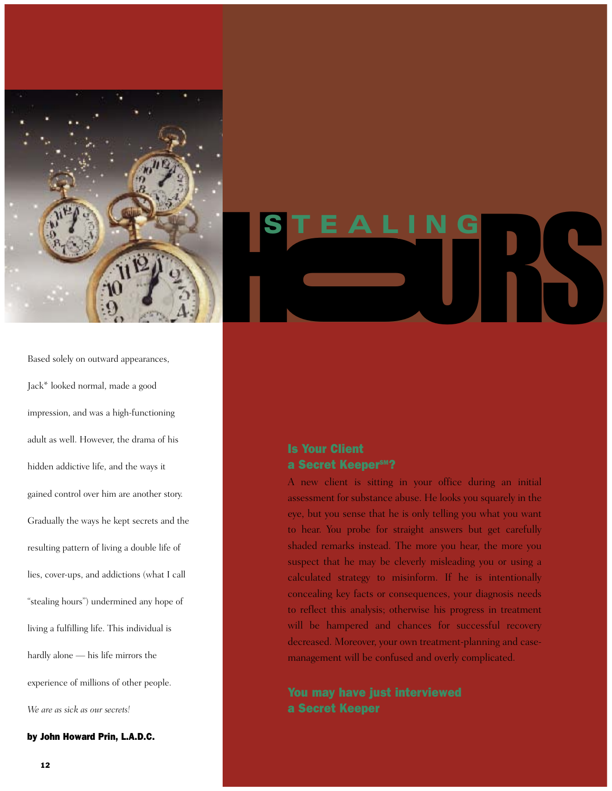

Based solely on outward appearances, Jack\* looked normal, made a good impression, and was a high-functioning adult as well. However, the drama of his hidden addictive life, and the ways it gained control over him are another story. Gradually the ways he kept secrets and the resulting pattern of living a double life of lies, cover-ups, and addictions (what I call "stealing hours") undermined any hope of living a fulfilling life. This individual is hardly alone — his life mirrors the experience of millions of other people. *We are as sick as our secrets!*

by John Howard Prin, L.A.D.C.

# UN S STEALING

### Is Your Client a Secret KeeperSM?

A new client is sitting in your office during an initial assessment for substance abuse. He looks you squarely in the eye, but you sense that he is only telling you what you want to hear. You probe for straight answers but get carefully shaded remarks instead. The more you hear, the more you suspect that he may be cleverly misleading you or using a calculated strategy to misinform. If he is intentionally concealing key facts or consequences, your diagnosis needs to reflect this analysis; otherwise his progress in treatment will be hampered and chances for successful recovery decreased. Moreover, your own treatment-planning and casemanagement will be confused and overly complicated.

## a Secret Keeper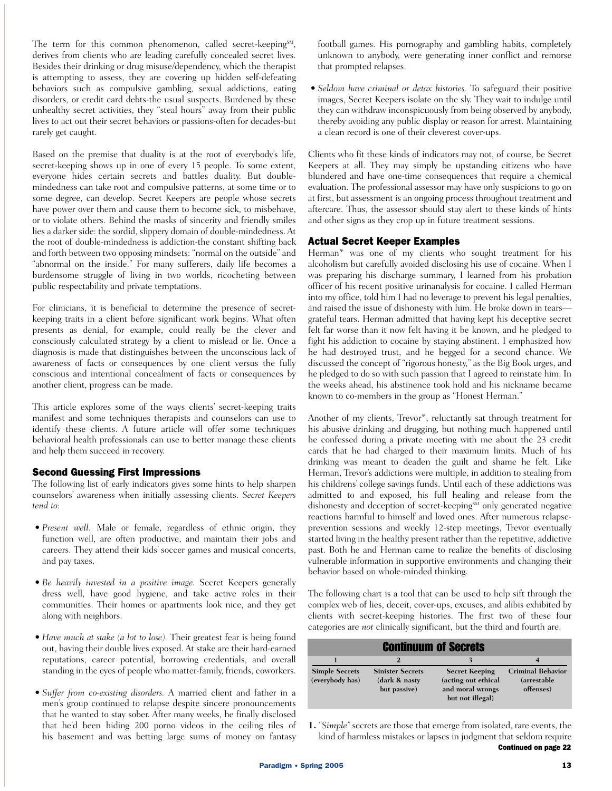The term for this common phenomenon, called secret-keeping<sup>SM</sup>, derives from clients who are leading carefully concealed secret lives. Besides their drinking or drug misuse/dependency, which the therapist is attempting to assess, they are covering up hidden self-defeating behaviors such as compulsive gambling, sexual addictions, eating disorders, or credit card debts-the usual suspects. Burdened by these unhealthy secret activities, they "steal hours" away from their public lives to act out their secret behaviors or passions-often for decades-but rarely get caught.

Based on the premise that duality is at the root of everybody's life, secret-keeping shows up in one of every 15 people. To some extent, everyone hides certain secrets and battles duality. But doublemindedness can take root and compulsive patterns, at some time or to some degree, can develop. Secret Keepers are people whose secrets have power over them and cause them to become sick, to misbehave, or to violate others. Behind the masks of sincerity and friendly smiles lies a darker side: the sordid, slippery domain of double-mindedness. At the root of double-mindedness is addiction-the constant shifting back and forth between two opposing mindsets: "normal on the outside" and "abnormal on the inside." For many sufferers, daily life becomes a burdensome struggle of living in two worlds, ricocheting between public respectability and private temptations.

For clinicians, it is beneficial to determine the presence of secretkeeping traits in a client before significant work begins. What often presents as denial, for example, could really be the clever and consciously calculated strategy by a client to mislead or lie. Once a diagnosis is made that distinguishes between the unconscious lack of awareness of facts or consequences by one client versus the fully conscious and intentional concealment of facts or consequences by another client, progress can be made.

This article explores some of the ways clients' secret-keeping traits manifest and some techniques therapists and counselors can use to identify these clients. A future article will offer some techniques behavioral health professionals can use to better manage these clients and help them succeed in recovery.

#### Second Guessing First Impressions

The following list of early indicators gives some hints to help sharpen counselors' awareness when initially assessing clients. *Secret Keepers tend to:*

- *Present well.* Male or female, regardless of ethnic origin, they function well, are often productive, and maintain their jobs and careers. They attend their kids' soccer games and musical concerts, and pay taxes.
- *Be heavily invested in a positive image.* Secret Keepers generally dress well, have good hygiene, and take active roles in their communities. Their homes or apartments look nice, and they get along with neighbors.
- *Have much at stake (a lot to lose).* Their greatest fear is being found out, having their double lives exposed. At stake are their hard-earned reputations, career potential, borrowing credentials, and overall standing in the eyes of people who matter-family, friends, coworkers.
- *Suffer from co-existing disorders.* A married client and father in a men's group continued to relapse despite sincere pronouncements that he wanted to stay sober. After many weeks, he finally disclosed that he'd been hiding 200 porno videos in the ceiling tiles of his basement and was betting large sums of money on fantasy

football games. His pornography and gambling habits, completely unknown to anybody, were generating inner conflict and remorse that prompted relapses.

• *Seldom have criminal or detox histories.* To safeguard their positive images, Secret Keepers isolate on the sly. They wait to indulge until they can withdraw inconspicuously from being observed by anybody, thereby avoiding any public display or reason for arrest. Maintaining a clean record is one of their cleverest cover-ups.

Clients who fit these kinds of indicators may not, of course, be Secret Keepers at all. They may simply be upstanding citizens who have blundered and have one-time consequences that require a chemical evaluation. The professional assessor may have only suspicions to go on at first, but assessment is an ongoing process throughout treatment and aftercare. Thus, the assessor should stay alert to these kinds of hints and other signs as they crop up in future treatment sessions.

#### Actual Secret Keeper Examples

Herman\* was one of my clients who sought treatment for his alcoholism but carefully avoided disclosing his use of cocaine. When I was preparing his discharge summary, I learned from his probation officer of his recent positive urinanalysis for cocaine. I called Herman into my office, told him I had no leverage to prevent his legal penalties, and raised the issue of dishonesty with him. He broke down in tears grateful tears. Herman admitted that having kept his deceptive secret felt far worse than it now felt having it be known, and he pledged to fight his addiction to cocaine by staying abstinent. I emphasized how he had destroyed trust, and he begged for a second chance. We discussed the concept of "rigorous honesty," as the Big Book urges, and he pledged to do so with such passion that I agreed to reinstate him. In the weeks ahead, his abstinence took hold and his nickname became known to co-members in the group as "Honest Herman."

Another of my clients, Trevor\*, reluctantly sat through treatment for his abusive drinking and drugging, but nothing much happened until he confessed during a private meeting with me about the 23 credit cards that he had charged to their maximum limits. Much of his drinking was meant to deaden the guilt and shame he felt. Like Herman, Trevor's addictions were multiple, in addition to stealing from his childrens' college savings funds. Until each of these addictions was admitted to and exposed, his full healing and release from the dishonesty and deception of secret-keeping<sup>SM</sup> only generated negative reactions harmful to himself and loved ones. After numerous relapseprevention sessions and weekly 12-step meetings, Trevor eventually started living in the healthy present rather than the repetitive, addictive past. Both he and Herman came to realize the benefits of disclosing vulnerable information in supportive environments and changing their behavior based on whole-minded thinking.

The following chart is a tool that can be used to help sift through the complex web of lies, deceit, cover-ups, excuses, and alibis exhibited by clients with secret-keeping histories. The first two of these four categories are *not* clinically significant, but the third and fourth are.

| <b>Continuum of Secrets</b>              |                                                          |                                                                                      |                                                       |
|------------------------------------------|----------------------------------------------------------|--------------------------------------------------------------------------------------|-------------------------------------------------------|
|                                          |                                                          |                                                                                      |                                                       |
| <b>Simple Secrets</b><br>(everybody has) | <b>Sinister Secrets</b><br>(dark & nasty<br>but passive) | <b>Secret Keeping</b><br>(acting out ethical<br>and moral wrongs<br>but not illegal) | <b>Criminal Behavior</b><br>(arrestable)<br>offenses) |

**<sup>1.</sup>** *"Simple"* secrets are those that emerge from isolated, rare events, the kind of harmless mistakes or lapses in judgment that seldom require Continued on page 22